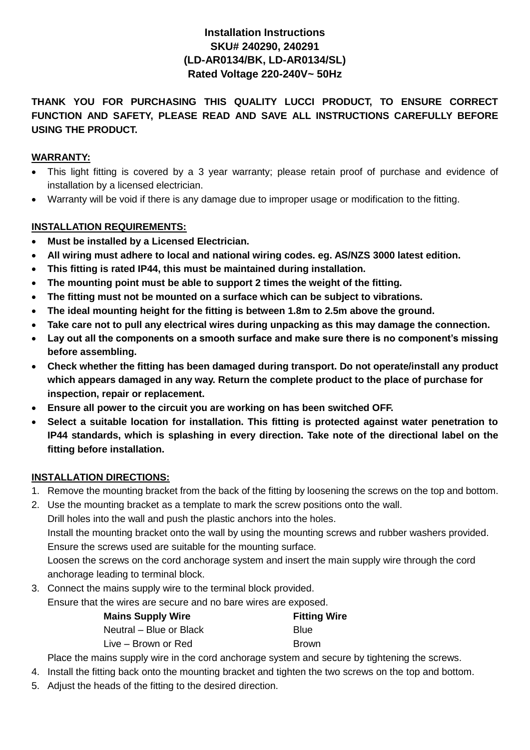# **Installation Instructions SKU# 240290, 240291 (LD-AR0134/BK, LD-AR0134/SL) Rated Voltage 220-240V~ 50Hz**

## **THANK YOU FOR PURCHASING THIS QUALITY LUCCI PRODUCT, TO ENSURE CORRECT FUNCTION AND SAFETY, PLEASE READ AND SAVE ALL INSTRUCTIONS CAREFULLY BEFORE USING THE PRODUCT.**

## **WARRANTY:**

- This light fitting is covered by a 3 year warranty; please retain proof of purchase and evidence of installation by a licensed electrician.
- Warranty will be void if there is any damage due to improper usage or modification to the fitting.

### **INSTALLATION REQUIREMENTS:**

- **Must be installed by a Licensed Electrician.**
- **All wiring must adhere to local and national wiring codes. eg. AS/NZS 3000 latest edition.**
- **This fitting is rated IP44, this must be maintained during installation.**
- **The mounting point must be able to support 2 times the weight of the fitting.**
- **The fitting must not be mounted on a surface which can be subject to vibrations.**
- **The ideal mounting height for the fitting is between 1.8m to 2.5m above the ground.**
- **Take care not to pull any electrical wires during unpacking as this may damage the connection.**
- **Lay out all the components on a smooth surface and make sure there is no component's missing before assembling.**
- **Check whether the fitting has been damaged during transport. Do not operate/install any product which appears damaged in any way. Return the complete product to the place of purchase for inspection, repair or replacement.**
- **Ensure all power to the circuit you are working on has been switched OFF.**
- **Select a suitable location for installation. This fitting is protected against water penetration to IP44 standards, which is splashing in every direction. Take note of the directional label on the fitting before installation.**

### **INSTALLATION DIRECTIONS:**

- 1. Remove the mounting bracket from the back of the fitting by loosening the screws on the top and bottom.
- 2. Use the mounting bracket as a template to mark the screw positions onto the wall.

Drill holes into the wall and push the plastic anchors into the holes. Install the mounting bracket onto the wall by using the mounting screws and rubber washers provided. Ensure the screws used are suitable for the mounting surface. Loosen the screws on the cord anchorage system and insert the main supply wire through the cord

anchorage leading to terminal block.

3. Connect the mains supply wire to the terminal block provided.

Ensure that the wires are secure and no bare wires are exposed.

| <b>Mains Supply Wire</b> | <b>Fitting Wire</b> |
|--------------------------|---------------------|
| Neutral – Blue or Black  | <b>Blue</b>         |
| Live – Brown or Red      | <b>Brown</b>        |

Place the mains supply wire in the cord anchorage system and secure by tightening the screws.

4. Install the fitting back onto the mounting bracket and tighten the two screws on the top and bottom.

5. Adjust the heads of the fitting to the desired direction.